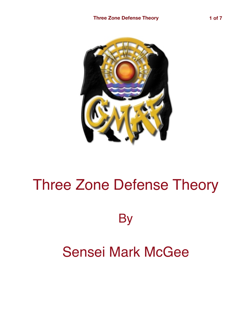

## Three Zone Defense Theory

**By** 

## Sensei Mark McGee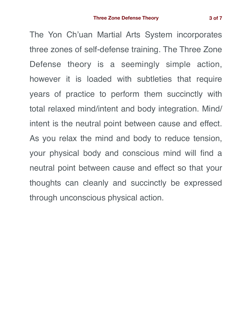The Yon Ch'uan Martial Arts System incorporates three zones of self-defense training. The Three Zone Defense theory is a seemingly simple action, however it is loaded with subtleties that require years of practice to perform them succinctly with total relaxed mind/intent and body integration. Mind/ intent is the neutral point between cause and effect. As you relax the mind and body to reduce tension, your physical body and conscious mind will find a neutral point between cause and effect so that your thoughts can cleanly and succinctly be expressed through unconscious physical action.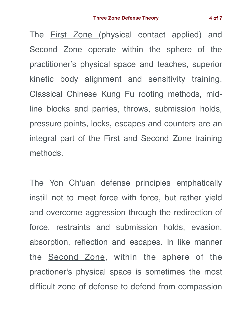The First Zone (physical contact applied) and Second Zone operate within the sphere of the practitioner's physical space and teaches, superior kinetic body alignment and sensitivity training. Classical Chinese Kung Fu rooting methods, midline blocks and parries, throws, submission holds, pressure points, locks, escapes and counters are an integral part of the **First and Second Zone** training methods.

The Yon Ch'uan defense principles emphatically instill not to meet force with force, but rather yield and overcome aggression through the redirection of force, restraints and submission holds, evasion, absorption, reflection and escapes. In like manner the Second Zone, within the sphere of the practioner's physical space is sometimes the most difficult zone of defense to defend from compassion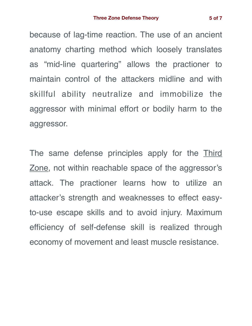because of lag-time reaction. The use of an ancient anatomy charting method which loosely translates as "mid-line quartering" allows the practioner to maintain control of the attackers midline and with skillful ability neutralize and immobilize the aggressor with minimal effort or bodily harm to the aggressor.

The same defense principles apply for the Third Zone, not within reachable space of the aggressor's attack. The practioner learns how to utilize an attacker's strength and weaknesses to effect easyto-use escape skills and to avoid injury. Maximum efficiency of self-defense skill is realized through economy of movement and least muscle resistance.